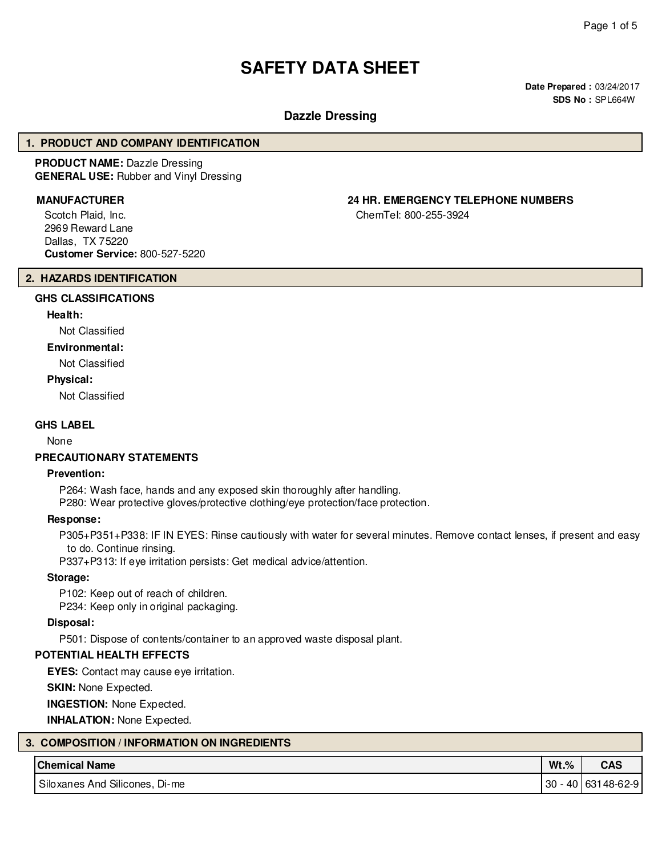# **SAFETY DATA SHEET**

**Date Prepared :** 03/24/2017 **SDS No :** SPL664W

# **Dazzle Dressing**

#### **1. PRODUCT AND COMPANY IDENTIFICATION**

**PRODUCT NAME:** Dazzle Dressing **GENERAL USE:** Rubber and Vinyl Dressing

Scotch Plaid, Inc. 2969 Reward Lane Dallas, TX 75220 **Customer Service:** 800-527-5220

# **MANUFACTURER 24 HR. EMERGENCY TELEPHONE NUMBERS**

ChemTel: 800-255-3924

#### **2. HAZARDS IDENTIFICATION**

# **GHS CLASSIFICATIONS**

# **Health:**

Not Classified

# **Environmental:**

Not Classified

#### **Physical:**

Not Classified

#### **GHS LABEL**

None

#### **PRECAUTIONARY STATEMENTS**

#### **Prevention:**

P264: Wash face, hands and any exposed skin thoroughly after handling.

P280: Wear protective gloves/protective clothing/eye protection/face protection.

#### **Response:**

P305+P351+P338: IF IN EYES: Rinse cautiously with water for several minutes. Remove contact lenses, if present and easy to do. Continue rinsing.

P337+P313: If eye irritation persists: Get medical advice/attention.

## **Storage:**

P102: Keep out of reach of children. P234: Keep only in original packaging.

#### **Disposal:**

P501: Dispose of contents/container to an approved waste disposal plant.

# **POTENTIAL HEALTH EFFECTS**

**EYES:** Contact may cause eye irritation.

**SKIN:** None Expected.

**INGESTION:** None Expected.

**INHALATION:** None Expected.

| 3. COMPOSITION / INFORMATION ON INGREDIENTS |                                |         |                       |  |  |  |  |  |
|---------------------------------------------|--------------------------------|---------|-----------------------|--|--|--|--|--|
|                                             | <b>Chemical Name</b>           | $Wt.\%$ | <b>CAS</b>            |  |  |  |  |  |
|                                             | Siloxanes And Silicones, Di-me |         | 30 - 40   631 48-62-9 |  |  |  |  |  |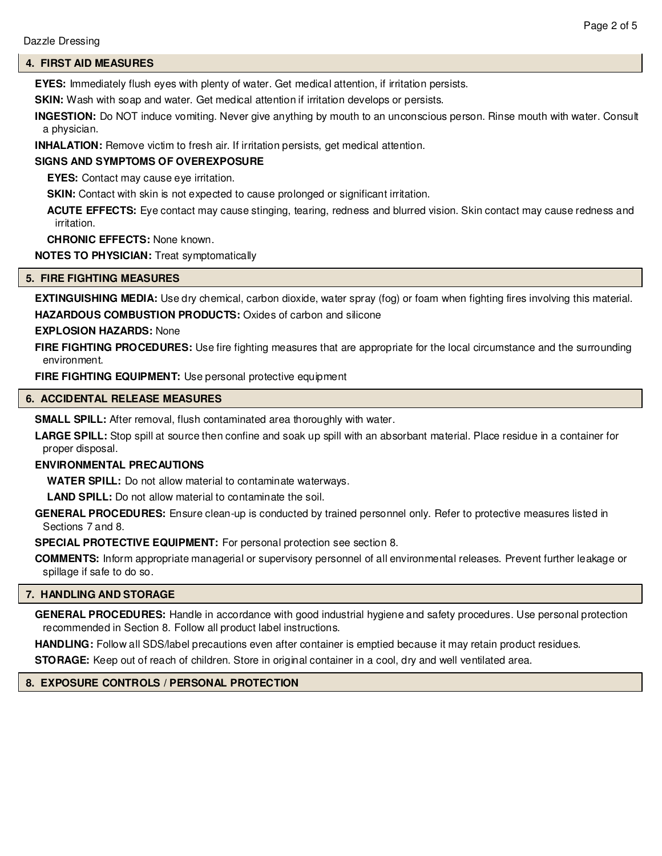# **4. FIRST AID MEASURES**

**EYES:** Immediately flush eyes with plenty of water. Get medical attention, if irritation persists.

**SKIN:** Wash with soap and water. Get medical attention if irritation develops or persists.

**INGESTION:** Do NOT induce vomiting. Never give anything by mouth to an unconscious person. Rinse mouth with water. Consult a physician.

**INHALATION:** Remove victim to fresh air. If irritation persists, get medical attention.

# **SIGNS AND SYMPTOMS OF OVEREXPOSURE**

**EYES:** Contact may cause eye irritation.

**SKIN:** Contact with skin is not expected to cause prolonged or significant irritation.

**ACUTE EFFECTS:** Eye contact may cause stinging, tearing, redness and blurred vision. Skin contact may cause redness and irritation.

**CHRONIC EFFECTS:** None known.

**NOTES TO PHYSICIAN:** Treat symptomatically

## **5. FIRE FIGHTING MEASURES**

**EXTINGUISHING MEDIA:** Use dry chemical, carbon dioxide, water spray (fog) or foam when fighting fires involving this material. **HAZARDOUS COMBUSTION PRODUCTS:** Oxides of carbon and silicone

# **EXPLOSION HAZARDS:** None

**FIRE FIGHTING PROCEDURES:** Use fire fighting measures that are appropriate for the local circumstance and the surrounding environment.

**FIRE FIGHTING EQUIPMENT:** Use personal protective equipment

#### **6. ACCIDENTAL RELEASE MEASURES**

**SMALL SPILL:** After removal, flush contaminated area thoroughly with water.

**LARGE SPILL:** Stop spill at source then confine and soak up spill with an absorbant material. Place residue in a container for proper disposal.

#### **ENVIRONMENTAL PRECAUTIONS**

**WATER SPILL:** Do not allow material to contaminate waterways.

**LAND SPILL:** Do not allow material to contaminate the soil.

**GENERAL PROCEDURES:** Ensure clean-up is conducted by trained personnel only. Refer to protective measures listed in Sections 7 and 8.

**SPECIAL PROTECTIVE EQUIPMENT:** For personal protection see section 8.

**COMMENTS:** Inform appropriate managerial or supervisory personnel of all environmental releases. Prevent further leakage or spillage if safe to do so.

#### **7. HANDLING AND STORAGE**

**GENERAL PROCEDURES:** Handle in accordance with good industrial hygiene and safety procedures. Use personal protection recommended in Section 8. Follow all product label instructions.

**HANDLING:** Follow all SDS/label precautions even after container is emptied because it may retain product residues. **STORAGE:** Keep out of reach of children. Store in original container in a cool, dry and well ventilated area.

# **8. EXPOSURE CONTROLS / PERSONAL PROTECTION**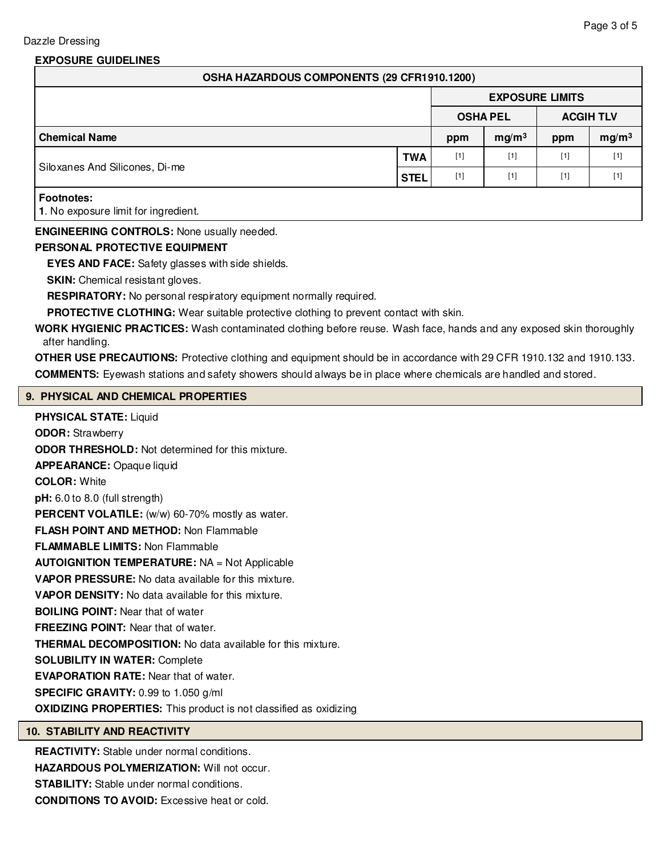# **EXPOSURE GUIDELINES**

| OSHA HAZARDOUS COMPONENTS (29 CFR1910.1200)               |             |                        |                   |       |                   |  |  |  |  |
|-----------------------------------------------------------|-------------|------------------------|-------------------|-------|-------------------|--|--|--|--|
|                                                           |             | <b>EXPOSURE LIMITS</b> |                   |       |                   |  |  |  |  |
| <b>OSHA PEL</b>                                           |             |                        | <b>ACGIH TLV</b>  |       |                   |  |  |  |  |
| <b>Chemical Name</b>                                      |             | ppm                    | mg/m <sup>3</sup> | ppm   | mg/m <sup>3</sup> |  |  |  |  |
|                                                           | <b>TWA</b>  | $[1]$                  | $[1]$             | $[1]$ | $[1]$             |  |  |  |  |
| Siloxanes And Silicones, Di-me                            | <b>STEL</b> | $[1]$                  | $[1]$             | $[1]$ | $[1]$             |  |  |  |  |
| <b>Footnotes:</b><br>1. No exposure limit for ingredient. |             |                        |                   |       |                   |  |  |  |  |

# **ENGINEERING CONTROLS:** None usually needed.

#### **PERSONAL PROTECTIVE EQUIPMENT**

**EYES AND FACE:** Safety glasses with side shields.

**SKIN:** Chemical resistant gloves.

**RESPIRATORY:** No personal respiratory equipment normally required.

PROTECTIVE CLOTHING: Wear suitable protective clothing to prevent contact with skin.

**WORK HYGIENIC PRACTICES:** Wash contaminated clothing before reuse. Wash face, hands and any exposed skin thoroughly after handling.

**OTHER USE PRECAUTIONS:** Protective clothing and equipment should be in accordance with 29 CFR 1910.132 and 1910.133. **COMMENTS:** Eyewash stations and safety showers should always be in place where chemicals are handled and stored.

# **9. PHYSICAL AND CHEMICAL PROPERTIES**

**PHYSICAL STATE:** Liquid **ODOR:** Strawberry **ODOR THRESHOLD:** Not determined for this mixture. **APPEARANCE:** Opaque liquid **COLOR:** White **pH:** 6.0 to 8.0 (full strength) PERCENT VOLATILE: (w/w) 60-70% mostly as water. **FLASH POINT AND METHOD:** Non Flammable **FLAMMABLE LIMITS:** Non Flammable **AUTOIGNITION TEMPERATURE:** NA = Not Applicable **VAPOR PRESSURE:** No data available for this mixture. **VAPOR DENSITY:** No data available for this mixture. **BOILING POINT:** Near that of water **FREEZING POINT:** Near that of water. **THERMAL DECOMPOSITION:** No data available for this mixture. **SOLUBILITY IN WATER:** Complete **EVAPORATION RATE:** Near that of water. **SPECIFIC GRAVITY:** 0.99 to 1.050 g/ml **OXIDIZING PROPERTIES:** This product is not classified as oxidizing

# **10. STABILITY AND REACTIVITY**

**REACTIVITY:** Stable under normal conditions.

**HAZARDOUS POLYMERIZATION:** Will not occur.

**STABILITY:** Stable under normal conditions.

**CONDITIONS TO AVOID:** Excessive heat or cold.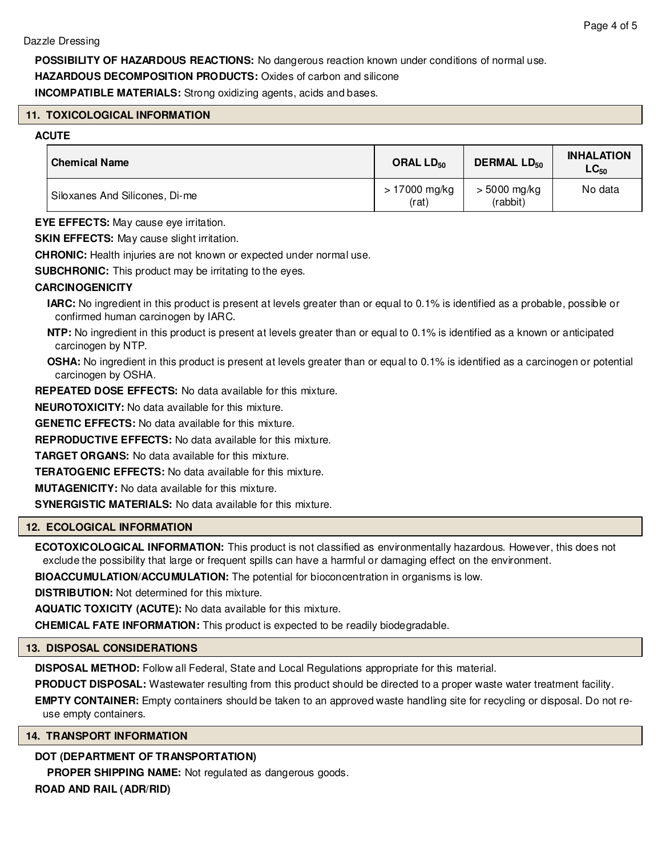**POSSIBILITY OF HAZARDOUS REACTIONS:** No dangerous reaction known under conditions of normal use.

**HAZARDOUS DECOMPOSITION PRODUCTS:** Oxides of carbon and silicone

**INCOMPATIBLE MATERIALS:** Strong oxidizing agents, acids and bases.

# **11. TOXICOLOGICAL INFORMATION**

# **ACUTE**

| <b>Chemical Name</b>           | ORAL $LD_{50}$         | <b>DERMAL LD<sub>50</sub></b> | <b>INHALATION</b><br>$\mathsf{LC}_{50}$ |
|--------------------------------|------------------------|-------------------------------|-----------------------------------------|
| Siloxanes And Silicones, Di-me | > 17000 mg/kg<br>(rat) | $> 5000$ mg/kg<br>(rabbit)    | No data                                 |

**EYE EFFECTS:** May cause eye irritation.

**SKIN EFFECTS:** May cause slight irritation.

**CHRONIC:** Health injuries are not known or expected under normal use.

**SUBCHRONIC:** This product may be irritating to the eyes.

# **CARCINOGENICITY**

**IARC:** No ingredient in this product is present at levels greater than or equal to 0.1% is identified as a probable, possible or confirmed human carcinogen by IARC.

**NTP:** No ingredient in this product is present at levels greater than or equal to 0.1% is identified as a known or anticipated carcinogen by NTP.

**OSHA:** No ingredient in this product is present at levels greater than or equal to 0.1% is identified as a carcinogen or potential carcinogen by OSHA.

**REPEATED DOSE EFFECTS:** No data available for this mixture.

**NEUROTOXICITY:** No data available for this mixture.

**GENETIC EFFECTS:** No data available for this mixture.

**REPRODUCTIVE EFFECTS:** No data available for this mixture.

**TARGET ORGANS:** No data available for this mixture.

**TERATOGENIC EFFECTS:** No data available for this mixture.

**MUTAGENICITY:** No data available for this mixture.

**SYNERGISTIC MATERIALS:** No data available for this mixture.

# **12. ECOLOGICAL INFORMATION**

**ECOTOXICOLOGICAL INFORMATION:** This product is not classified as environmentally hazardous. However, this does not exclude the possibility that large or frequent spills can have a harmful or damaging effect on the environment.

**BIOACCUMULATION/ACCUMULATION:** The potential for bioconcentration in organisms is low.

**DISTRIBUTION:** Not determined for this mixture.

**AQUATIC TOXICITY (ACUTE):** No data available for this mixture.

**CHEMICAL FATE INFORMATION:** This product is expected to be readily biodegradable.

# **13. DISPOSAL CONSIDERATIONS**

**DISPOSAL METHOD:** Follow all Federal, State and Local Regulations appropriate for this material.

**PRODUCT DISPOSAL:** Wastewater resulting from this product should be directed to a proper waste water treatment facility.

**EMPTY CONTAINER:** Empty containers should be taken to an approved waste handling site for recycling or disposal. Do not reuse empty containers.

# **14. TRANSPORT INFORMATION**

# **DOT (DEPARTMENT OF TRANSPORTATION)**

**PROPER SHIPPING NAME:** Not regulated as dangerous goods.

**ROAD AND RAIL (ADR/RID)**